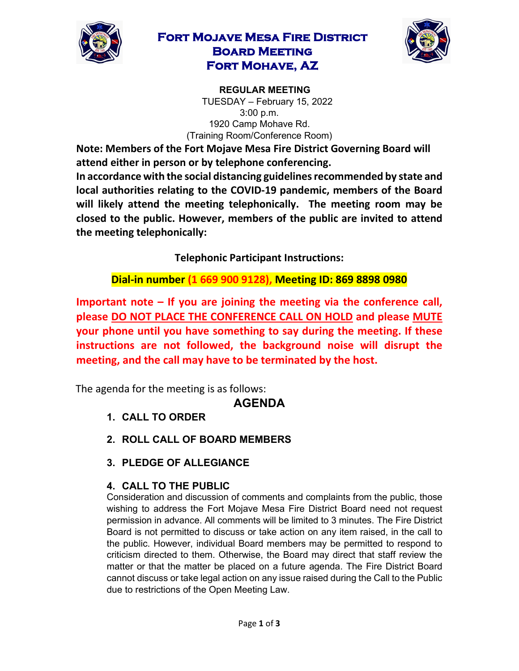

### **Fort Mojave Mesa Fire District Board Meeting Fort Mohave, AZ**



**REGULAR MEETING**  TUESDAY – February 15, 2022 3:00 p.m. 1920 Camp Mohave Rd. (Training Room/Conference Room)

**Note: Members of the Fort Mojave Mesa Fire District Governing Board will attend either in person or by telephone conferencing.** 

**In accordance with the social distancing guidelines recommended by state and local authorities relating to the COVID-19 pandemic, members of the Board will likely attend the meeting telephonically. The meeting room may be closed to the public. However, members of the public are invited to attend the meeting telephonically:** 

**Telephonic Participant Instructions:**

**Dial-in number (1 669 900 9128), Meeting ID: 869 8898 0980**

**Important note – If you are joining the meeting via the conference call, please DO NOT PLACE THE CONFERENCE CALL ON HOLD and please MUTE your phone until you have something to say during the meeting. If these instructions are not followed, the background noise will disrupt the meeting, and the call may have to be terminated by the host.**

The agenda for the meeting is as follows:

# **AGENDA**

- **1. CALL TO ORDER**
- **2. ROLL CALL OF BOARD MEMBERS**
- **3. PLEDGE OF ALLEGIANCE**

### **4. CALL TO THE PUBLIC**

Consideration and discussion of comments and complaints from the public, those wishing to address the Fort Mojave Mesa Fire District Board need not request permission in advance. All comments will be limited to 3 minutes. The Fire District Board is not permitted to discuss or take action on any item raised, in the call to the public. However, individual Board members may be permitted to respond to criticism directed to them. Otherwise, the Board may direct that staff review the matter or that the matter be placed on a future agenda. The Fire District Board cannot discuss or take legal action on any issue raised during the Call to the Public due to restrictions of the Open Meeting Law.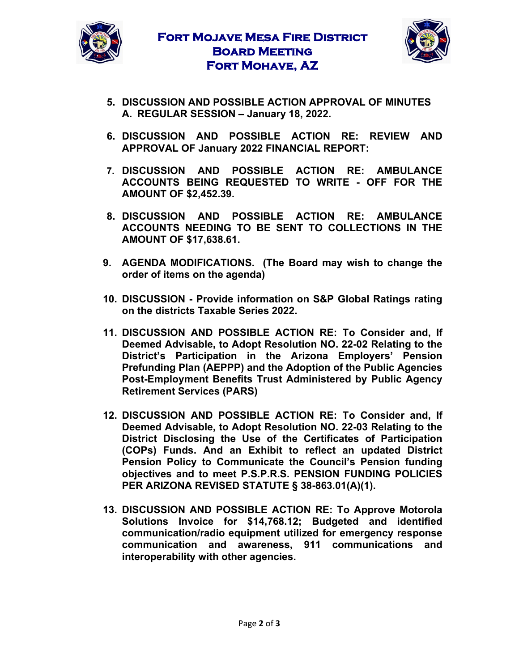



- **5. DISCUSSION AND POSSIBLE ACTION APPROVAL OF MINUTES A. REGULAR SESSION – January 18, 2022.**
- **6. DISCUSSION AND POSSIBLE ACTION RE: REVIEW AND APPROVAL OF January 2022 FINANCIAL REPORT:**
- **7. DISCUSSION AND POSSIBLE ACTION RE: AMBULANCE ACCOUNTS BEING REQUESTED TO WRITE - OFF FOR THE AMOUNT OF \$2,452.39.**
- **8. DISCUSSION AND POSSIBLE ACTION RE: AMBULANCE ACCOUNTS NEEDING TO BE SENT TO COLLECTIONS IN THE AMOUNT OF \$17,638.61.**
- **9. AGENDA MODIFICATIONS. (The Board may wish to change the order of items on the agenda)**
- **10. DISCUSSION - Provide information on S&P Global Ratings rating on the districts Taxable Series 2022.**
- **11. DISCUSSION AND POSSIBLE ACTION RE: To Consider and, If Deemed Advisable, to Adopt Resolution NO. 22-02 Relating to the District's Participation in the Arizona Employers' Pension Prefunding Plan (AEPPP) and the Adoption of the Public Agencies Post-Employment Benefits Trust Administered by Public Agency Retirement Services (PARS)**
- **12. DISCUSSION AND POSSIBLE ACTION RE: To Consider and, If Deemed Advisable, to Adopt Resolution NO. 22-03 Relating to the District Disclosing the Use of the Certificates of Participation (COPs) Funds. And an Exhibit to reflect an updated District Pension Policy to Communicate the Council's Pension funding objectives and to meet P.S.P.R.S. PENSION FUNDING POLICIES PER ARIZONA REVISED STATUTE § 38-863.01(A)(1).**
- **13. DISCUSSION AND POSSIBLE ACTION RE: To Approve Motorola Solutions Invoice for \$14,768.12; Budgeted and identified communication/radio equipment utilized for emergency response communication and awareness, 911 communications and interoperability with other agencies.**